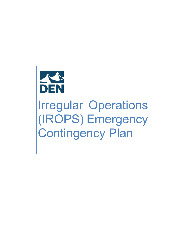

# Irregular Operations (IROPS) Emergency Contingency Plan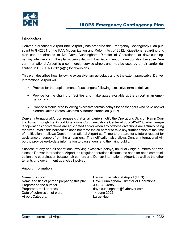

#### Introduction

Denver International Airport (the "Airport") has prepared this Emergency Contingency Plan pursuant to § 42301 of the FAA Modernization and Reform Act of 2012. Questions regarding this plan can be directed to Mr. Dave Cunningham, Director of Operations, at dave.cunningham@flydenver.com. This plan is being filed with the Department of Transportation because Denver International Airport is a commercial service airport and may be used by an air carrier described in U.S.C. § 42301(a)(1) for diversions.

This plan describes how, following excessive tarmac delays and to the extent practicable, Denver International Airport will:

- Provide for the deplanement of passengers following excessive tarmac delays;
- Provide for the sharing of facilities and make gates available at the airport in an emergency; and
- Provide a sterile area following excessive tarmac delays for passengers who have not yet cleared United States Customs & Border Protection (CBP).

Denver International Airport requests that all air carriers notify the Operations Division Ramp Control Tower through the Airport Operations Communications Center at 303-342-4200 when irregular operations or diversions are anticipated and/or when any of these diversions are actually being received. While this notification does not force the air carrier to take any further action at the time of notification, it allows Denver International Airport staff time to prepare for a future request for assistance or support from the air carriers. The notification also allows Denver International Airport to provide up-to-date information to passengers and the flying public.

Success of any and all operations involving excessive delays, unusually high numbers of diversions to Denver International Airport, or irregular operations dictates the need for open communication and coordination between air carriers and Denver International Airport, as well as the other tenants and government agencies involved.

#### Airport Information

Name of Airport:  $\blacksquare$  Denver International Airport (DEN) Name and title of person preparing this plan: Dave Cunningham, Director of Operations Preparer phone number: 303-342-4885 Preparer e-mail address: dave.cunningham@flydenver.com<br>
Date of submission of plan: 14 June 2022 Date of submission of plan: Airport Category: Large Hub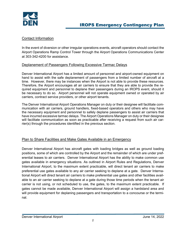

## Contact Information

In the event of diversion or other irregular operations events, aircraft operators should contact the Airport Operations Ramp Control Tower through the Airport Operations Communications Center at 303-342-4200 for assistance.

## Deplanement of Passengers Following Excessive Tarmac Delays

Denver International Airport has a limited amount of personnel and airport-owned equipment on hand to assist with the safe deplanement of passengers from a limited number of aircraft at a time. However, there may be instances when the Airport is not able to provide these resources. Therefore, the Airport encourages all air carriers to ensure that they are able to provide the required equipment and personnel to deplane their passengers during an IROPS event, should it be necessary to do so. Airport personnel will not operate equipment owned or operated by air carriers, contract service providers, or other airport tenants.

The Denver International Airport Operations Manager on duty or their designee will facilitate communication with air carriers, ground handlers, fixed-based operators and others who may have the necessary equipment and personnel to safely deplane passengers to assist air carriers that have incurred excessive tarmac delays. The Airport Operations Manager on duty or their designee will facilitate communication as soon as practicable after receiving a request from such air carrier(s) through the procedures identified in the previous section.

# Plan to Share Facilities and Make Gates Available in an Emergency

Denver International Airport has aircraft gates with loading bridges as well as ground loading positions, some of which are controlled by the Airport and the remainder of which are under preferential leases to air carriers. Denver International Airport has the ability to make common use gates available in emergency situations. As outlined in Airport Rules and Regulations, Denver International Airport, to the maximum extent practicable, will direct tenant air carriers to make preferential use gates available to any air carrier seeking to deplane at a gate. Denver International Airport will direct tenant air carriers to make preferential use gates and other facilities available to an air carrier seeking to deplane at a gate during those time periods when the tenant air carrier is not using, or not scheduled to use, the gates, to the maximum extent practicable. If gates cannot be made available, Denver International Airport will assign a hardstand area and will provide equipment for deplaning passengers and transportation to a concourse or the terminal.